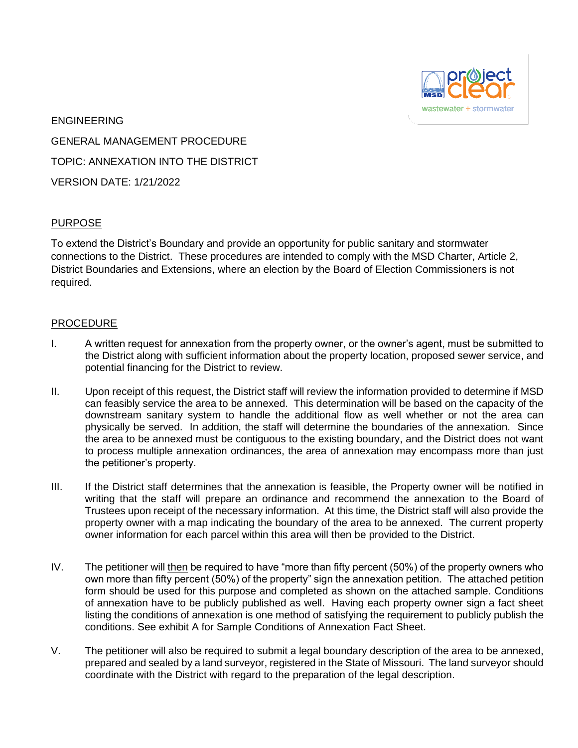

ENGINEERING GENERAL MANAGEMENT PROCEDURE TOPIC: ANNEXATION INTO THE DISTRICT VERSION DATE: 1/21/2022

## PURPOSE

To extend the District's Boundary and provide an opportunity for public sanitary and stormwater connections to the District. These procedures are intended to comply with the MSD Charter, Article 2, District Boundaries and Extensions, where an election by the Board of Election Commissioners is not required.

## PROCEDURE

- I. A written request for annexation from the property owner, or the owner's agent, must be submitted to the District along with sufficient information about the property location, proposed sewer service, and potential financing for the District to review.
- II. Upon receipt of this request, the District staff will review the information provided to determine if MSD can feasibly service the area to be annexed. This determination will be based on the capacity of the downstream sanitary system to handle the additional flow as well whether or not the area can physically be served. In addition, the staff will determine the boundaries of the annexation. Since the area to be annexed must be contiguous to the existing boundary, and the District does not want to process multiple annexation ordinances, the area of annexation may encompass more than just the petitioner's property.
- III. If the District staff determines that the annexation is feasible, the Property owner will be notified in writing that the staff will prepare an ordinance and recommend the annexation to the Board of Trustees upon receipt of the necessary information. At this time, the District staff will also provide the property owner with a map indicating the boundary of the area to be annexed. The current property owner information for each parcel within this area will then be provided to the District.
- IV. The petitioner will then be required to have "more than fifty percent (50%) of the property owners who own more than fifty percent (50%) of the property" sign the annexation petition. The attached petition form should be used for this purpose and completed as shown on the attached sample. Conditions of annexation have to be publicly published as well. Having each property owner sign a fact sheet listing the conditions of annexation is one method of satisfying the requirement to publicly publish the conditions. See exhibit A for Sample Conditions of Annexation Fact Sheet.
- V. The petitioner will also be required to submit a legal boundary description of the area to be annexed, prepared and sealed by a land surveyor, registered in the State of Missouri. The land surveyor should coordinate with the District with regard to the preparation of the legal description.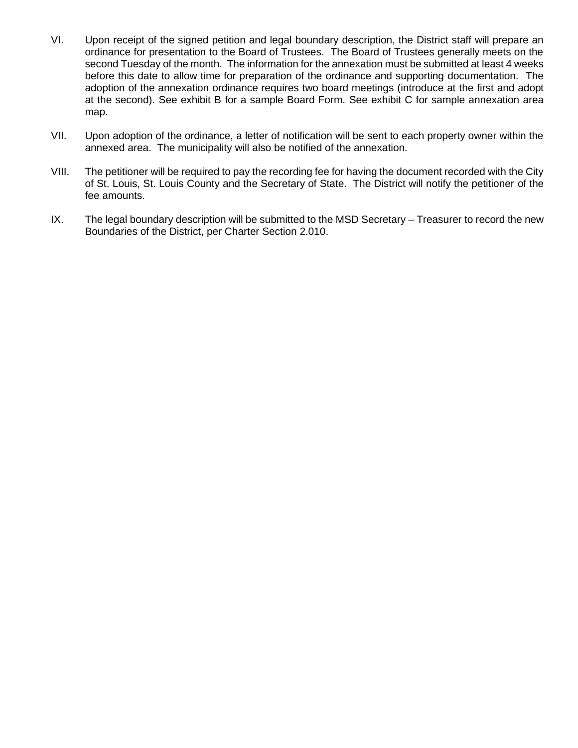- VI. Upon receipt of the signed petition and legal boundary description, the District staff will prepare an ordinance for presentation to the Board of Trustees. The Board of Trustees generally meets on the second Tuesday of the month. The information for the annexation must be submitted at least 4 weeks before this date to allow time for preparation of the ordinance and supporting documentation. The adoption of the annexation ordinance requires two board meetings (introduce at the first and adopt at the second). See exhibit B for a sample Board Form. See exhibit C for sample annexation area map.
- VII. Upon adoption of the ordinance, a letter of notification will be sent to each property owner within the annexed area. The municipality will also be notified of the annexation.
- VIII. The petitioner will be required to pay the recording fee for having the document recorded with the City of St. Louis, St. Louis County and the Secretary of State. The District will notify the petitioner of the fee amounts.
- IX. The legal boundary description will be submitted to the MSD Secretary Treasurer to record the new Boundaries of the District, per Charter Section 2.010.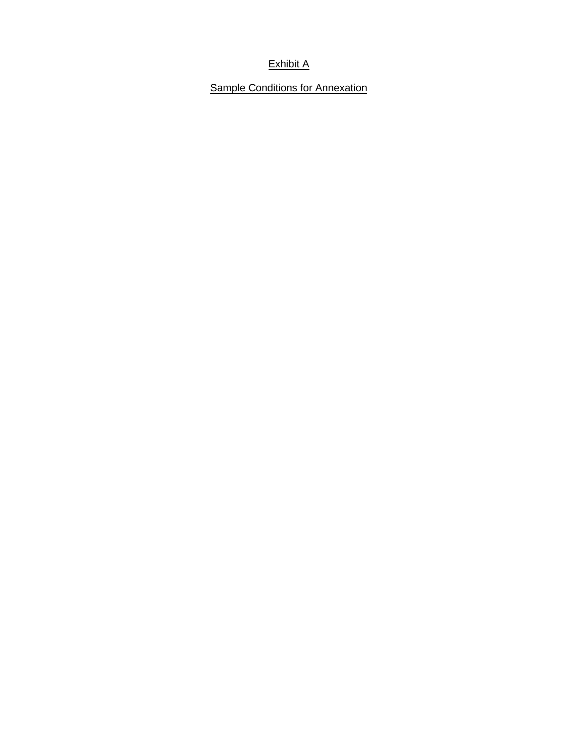## Exhibit A

**Sample Conditions for Annexation**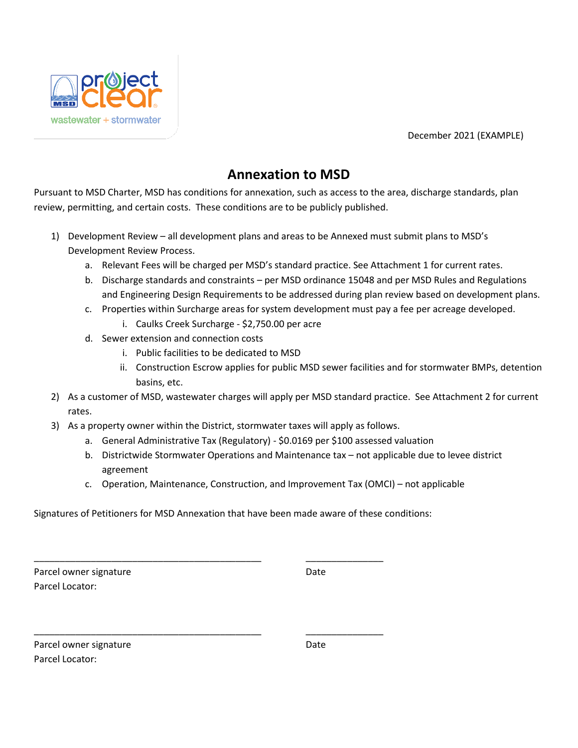December 2021 (EXAMPLE)



# **Annexation to MSD**

Pursuant to MSD Charter, MSD has conditions for annexation, such as access to the area, discharge standards, plan review, permitting, and certain costs. These conditions are to be publicly published.

- 1) Development Review all development plans and areas to be Annexed must submit plans to MSD's Development Review Process.
	- a. Relevant Fees will be charged per MSD's standard practice. See Attachment 1 for current rates.
	- b. Discharge standards and constraints per MSD ordinance 15048 and per MSD Rules and Regulations and Engineering Design Requirements to be addressed during plan review based on development plans.
	- c. Properties within Surcharge areas for system development must pay a fee per acreage developed.
		- i. Caulks Creek Surcharge \$2,750.00 per acre
	- d. Sewer extension and connection costs
		- i. Public facilities to be dedicated to MSD
		- ii. Construction Escrow applies for public MSD sewer facilities and for stormwater BMPs, detention basins, etc.
- 2) As a customer of MSD, wastewater charges will apply per MSD standard practice. See Attachment 2 for current rates.
- 3) As a property owner within the District, stormwater taxes will apply as follows.
	- a. General Administrative Tax (Regulatory) \$0.0169 per \$100 assessed valuation
	- b. Districtwide Stormwater Operations and Maintenance tax not applicable due to levee district agreement
	- c. Operation, Maintenance, Construction, and Improvement Tax (OMCI) not applicable

Signatures of Petitioners for MSD Annexation that have been made aware of these conditions:

\_\_\_\_\_\_\_\_\_\_\_\_\_\_\_\_\_\_\_\_\_\_\_\_\_\_\_\_\_\_\_\_\_\_\_\_\_\_\_\_\_\_\_\_ \_\_\_\_\_\_\_\_\_\_\_\_\_\_\_

\_\_\_\_\_\_\_\_\_\_\_\_\_\_\_\_\_\_\_\_\_\_\_\_\_\_\_\_\_\_\_\_\_\_\_\_\_\_\_\_\_\_\_\_ \_\_\_\_\_\_\_\_\_\_\_\_\_\_\_

Parcel owner signature **Date** Date Parcel Locator:

| Parcel owner signature | Date |
|------------------------|------|
| Parcel Locator:        |      |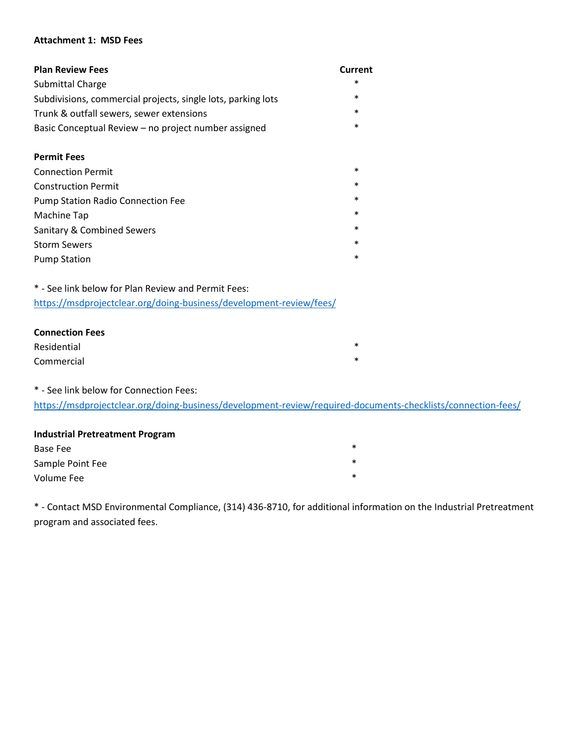#### **Attachment 1: MSD Fees**

| <b>Plan Review Fees</b>                                      | Current |  |  |  |
|--------------------------------------------------------------|---------|--|--|--|
| <b>Submittal Charge</b>                                      | $\ast$  |  |  |  |
| Subdivisions, commercial projects, single lots, parking lots | ∗       |  |  |  |
| Trunk & outfall sewers, sewer extensions                     |         |  |  |  |
| Basic Conceptual Review – no project number assigned         |         |  |  |  |
|                                                              |         |  |  |  |
| <b>Permit Fees</b>                                           |         |  |  |  |
| <b>Connection Permit</b>                                     | $\ast$  |  |  |  |
| <b>Construction Permit</b>                                   | $\ast$  |  |  |  |
| <b>Pump Station Radio Connection Fee</b>                     | $\ast$  |  |  |  |
| Machine Tap                                                  | $\ast$  |  |  |  |
| Sanitary & Combined Sewers                                   | $\ast$  |  |  |  |
| <b>Storm Sewers</b>                                          | $\ast$  |  |  |  |
| <b>Pump Station</b>                                          | $\ast$  |  |  |  |

\* - See link below for Plan Review and Permit Fees: <https://msdprojectclear.org/doing-business/development-review/fees/>

# **Connection Fees**  Residential  $*$ Commercial \*

\* - See link below for Connection Fees:

<https://msdprojectclear.org/doing-business/development-review/required-documents-checklists/connection-fees/>

## **Industrial Pretreatment Program**

| Base Fee         | $\ast$ |
|------------------|--------|
| Sample Point Fee | $\ast$ |
| Volume Fee       | $\ast$ |

\* - Contact MSD Environmental Compliance, (314) 436-8710, for additional information on the Industrial Pretreatment program and associated fees.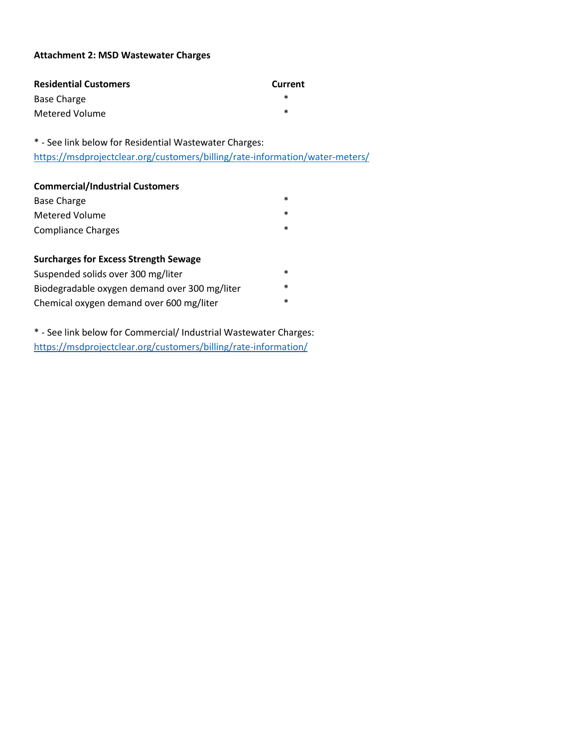### **Attachment 2: MSD Wastewater Charges**

| <b>Residential Customers</b> | <b>Current</b> |
|------------------------------|----------------|
| Base Charge                  | *              |
| Metered Volume               | ж              |

\* - See link below for Residential Wastewater Charges: <https://msdprojectclear.org/customers/billing/rate-information/water-meters/>

## **Commercial/Industrial Customers**

| Base Charge        | ж |
|--------------------|---|
| Metered Volume     | * |
| Compliance Charges | * |

## **Surcharges for Excess Strength Sewage**

| Suspended solids over 300 mg/liter            | ж      |
|-----------------------------------------------|--------|
| Biodegradable oxygen demand over 300 mg/liter | ж      |
| Chemical oxygen demand over 600 mg/liter      | $\ast$ |

\* - See link below for Commercial/ Industrial Wastewater Charges: <https://msdprojectclear.org/customers/billing/rate-information/>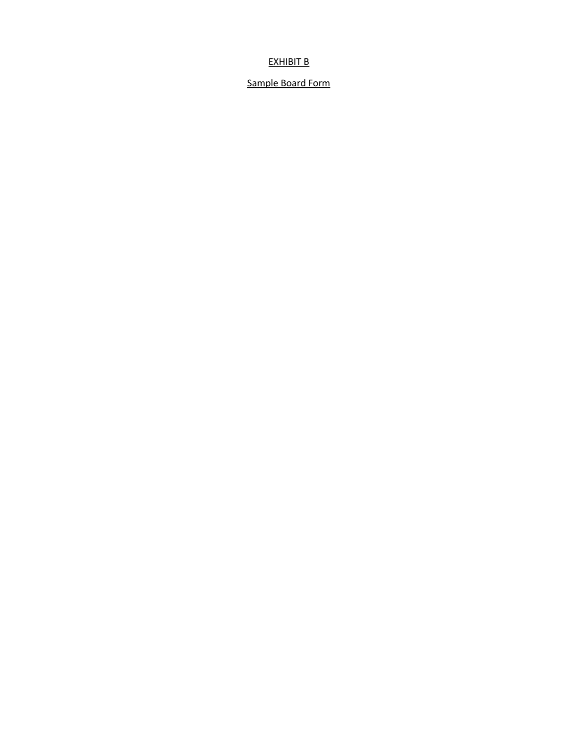## EXHIBIT B

## Sample Board Form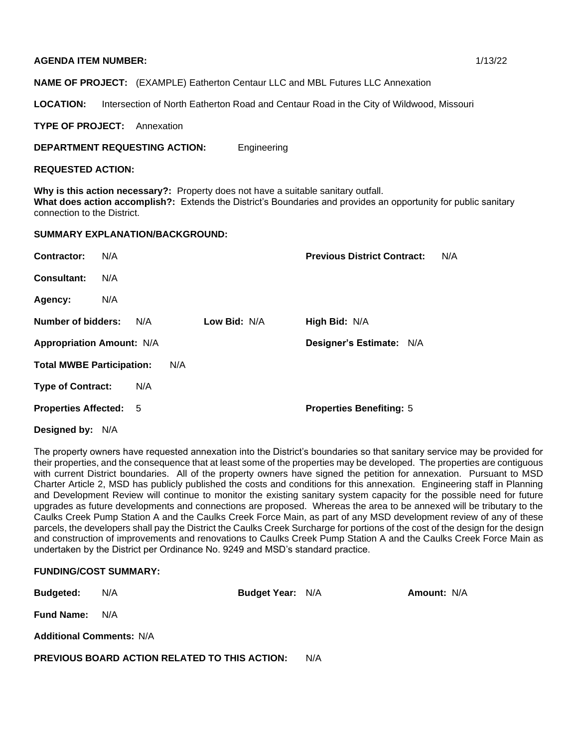#### **AGENDA ITEM NUMBER:** 1/13/22

**NAME OF PROJECT:** (EXAMPLE) Eatherton Centaur LLC and MBL Futures LLC Annexation

LOCATION: Intersection of North Eatherton Road and Centaur Road in the City of Wildwood, Missouri

**TYPE OF PROJECT:** Annexation

#### **DEPARTMENT REQUESTING ACTION:** Engineering

#### **REQUESTED ACTION:**

**Why is this action necessary?:** Property does not have a suitable sanitary outfall. **What does action accomplish?:** Extends the District's Boundaries and provides an opportunity for public sanitary connection to the District.

#### **SUMMARY EXPLANATION/BACKGROUND:**

| Contractor:                      | N/A |     |     |              | <b>Previous District Contract:</b> | N/A |
|----------------------------------|-----|-----|-----|--------------|------------------------------------|-----|
| <b>Consultant:</b>               | N/A |     |     |              |                                    |     |
| Agency:                          | N/A |     |     |              |                                    |     |
| Number of bidders:               |     | N/A |     | Low Bid: N/A | High Bid: N/A                      |     |
| <b>Appropriation Amount: N/A</b> |     |     |     |              | Designer's Estimate: N/A           |     |
| <b>Total MWBE Participation:</b> |     |     | N/A |              |                                    |     |
| <b>Type of Contract:</b>         |     | N/A |     |              |                                    |     |
| <b>Properties Affected: 5</b>    |     |     |     |              | <b>Properties Benefiting: 5</b>    |     |
|                                  |     |     |     |              |                                    |     |

**Designed by:** N/A

The property owners have requested annexation into the District's boundaries so that sanitary service may be provided for their properties, and the consequence that at least some of the properties may be developed. The properties are contiguous with current District boundaries. All of the property owners have signed the petition for annexation. Pursuant to MSD Charter Article 2, MSD has publicly published the costs and conditions for this annexation. Engineering staff in Planning and Development Review will continue to monitor the existing sanitary system capacity for the possible need for future upgrades as future developments and connections are proposed. Whereas the area to be annexed will be tributary to the Caulks Creek Pump Station A and the Caulks Creek Force Main, as part of any MSD development review of any of these parcels, the developers shall pay the District the Caulks Creek Surcharge for portions of the cost of the design for the design and construction of improvements and renovations to Caulks Creek Pump Station A and the Caulks Creek Force Main as undertaken by the District per Ordinance No. 9249 and MSD's standard practice.

## **FUNDING/COST SUMMARY:**

| <b>Budgeted:</b>                | N/A                                                  | <b>Budget Year: N/A</b> |  | <b>Amount: N/A</b> |  |  |  |
|---------------------------------|------------------------------------------------------|-------------------------|--|--------------------|--|--|--|
| <b>Fund Name:</b>               | N/A                                                  |                         |  |                    |  |  |  |
| <b>Additional Comments: N/A</b> |                                                      |                         |  |                    |  |  |  |
|                                 | <b>PREVIOUS BOARD ACTION RELATED TO THIS ACTION:</b> | N/A                     |  |                    |  |  |  |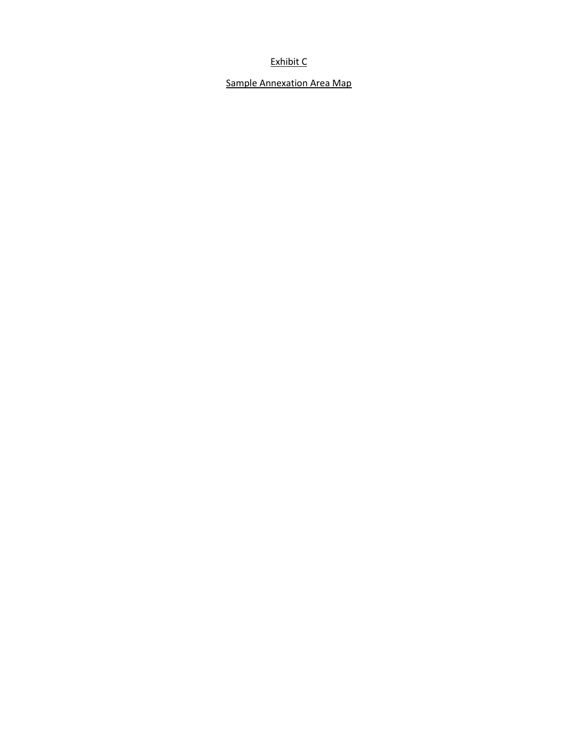## Exhibit C

## Sample Annexation Area Map